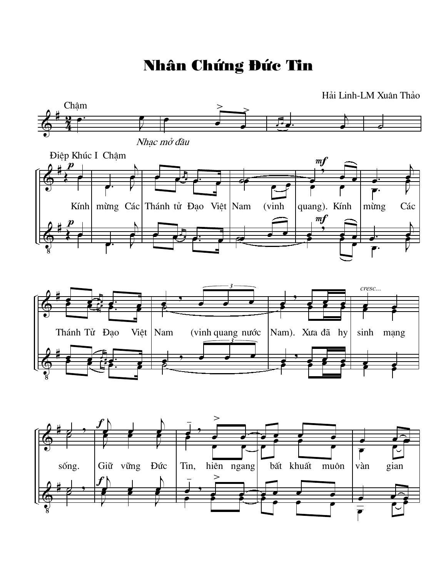## **Nhân Chứng Đức Tin**



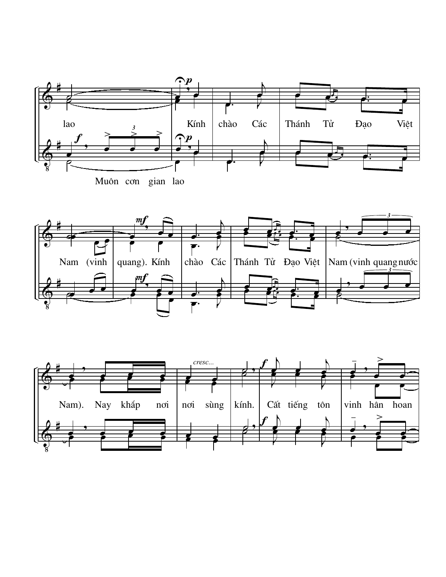



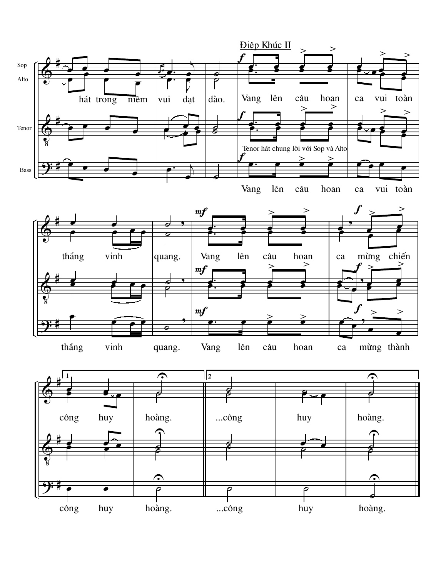